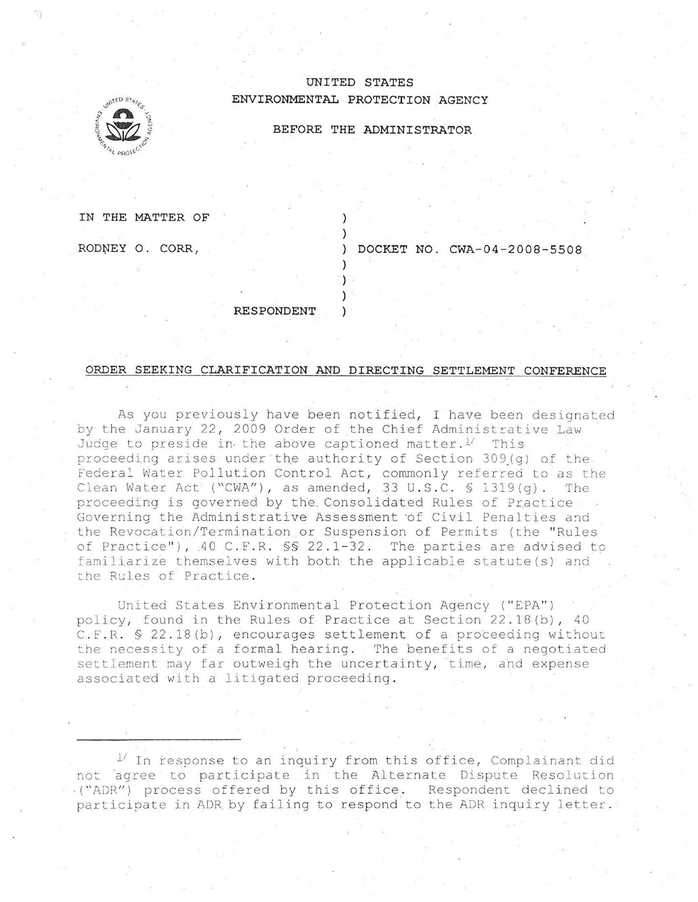## **UNITED STATES ENVIRONMENTAL PROTECTION AGENCY**



**BEFORE THE ADMINISTRATOR** 

**IN THE MATTER OF** 

ROD~EY **0. CORR ,** 

) **DOCKET NO . CWA-04-2008-5508** 

**RESPONDENT** 

## **ORDER SEEKING CLARIFICATION AND DIRECTING SETTLEMENT CONFERENCE**

) )

) ") ) )

As you previously have been notified, I have been designated by the January 22, 2009 Order of the Chief Administrative Law Judge to preside in the above captioned matter. $1/$  This proceeding arises under the authority of Section 309(q) of the Federal Water Pollution Control Act, commonly referred to as the Clean Water Act ("CWA"), as amended, 33 U.S.C. § 1319(g). The proceeding is governed by the Consolidated Rules of Practice Governing the Administrative Assessment of Civil Penalties and the Revocation/Termination or Suspension of Permits (the "Rules of Practice"), .40 C. F. R. §§ 22.1-32. The parties are advised to familiarize themselves with both the applicable statute(s) and the Rules of Practice.

United States Environmental Protection Agency ("EPA") policy, founa in the Rules of Practice at Section 22 . 18(b) , 40 C. F. R.  $\$$  22.18(b), encourages settlement of a proceeding without the necessity of a formal hearing. The benefits of a negotiated settlement may far outweigh the uncertainty, time, and expense associated with a litigated proceeding.

 $1$ <sup>/</sup> In response to an inquiry from this office, Complainant did not agree to participate in the Alternate Dispute Resolution ..("ADR") process offered by this office. Respondent declined to participate in ADR by failing to respond to the ADR inquiry letter.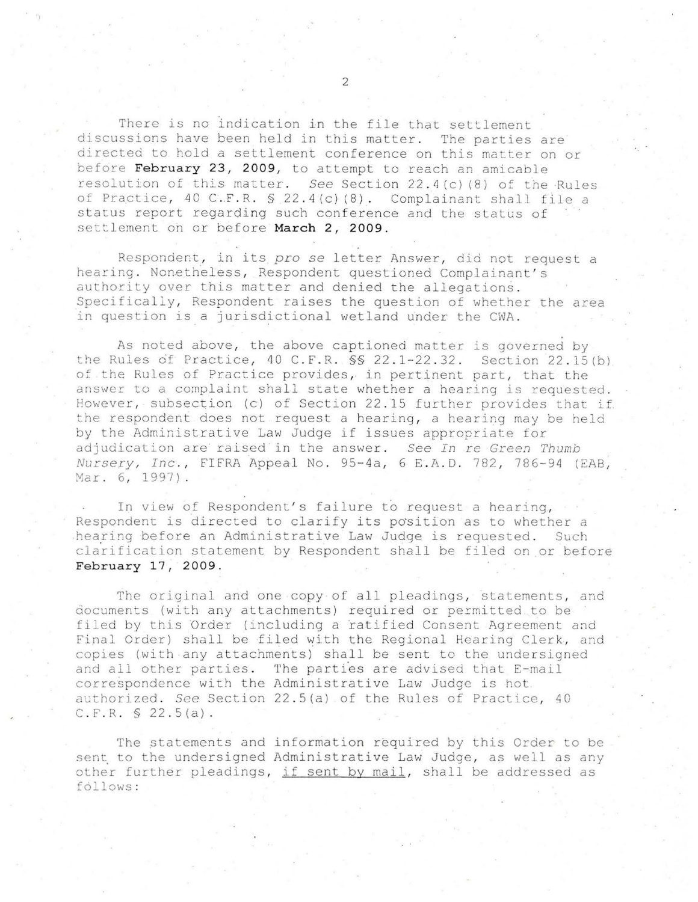There is no indication in the file that settlement discussions have been held in this matter. The parties are directed to hold a settlement conference on this matter on or before **February 23, 2009 ,** to attempt to reach an amicable resolution of this matter. *See* Section 22 . 4 (c) (8) of the ·Rules of Practice, 40 C.F.R. § 22.4(c)(8). Complainant shall file a status report regarding such conference and the status of settlement on or before **March 2 , 2009.** 

Respondent, in its pro se letter Answer, did not request a hearing. Nonetheless, Respondent questioned Complainant's authority over this matter and denied the allegations . Specifically, Respondent raises the question of whether the area in question is a jurisdictional wetland under the CWA.

As noted above , the above captioned matter is governed by the Rules of Practice, 40 C.F.R.  $\frac{1}{5}$  22.1-22.32. Section 22.15(b) of the Rules of Practice provides, in pertinent part, that the answer to a complaint shall state whether a hearing is requested. However, subsection (c) of Section 22.15 further provides that if the respondent does not request a hearing, a hearing may be held by the Administrative Law Judge if issues appropriate for adjudication are raised in the answer. See In re Green Thumb *Nursery, Inc., FIFRA Appeal No. 95-4a, 6 E.A.D. 782, 786-94 (EAB,* Mar. 6, 1997).

In view of Respondent's failure to request a hearing, Respondent is directed to clarify its position as to whether a hearing before an Administrative Law Judge is requested. Such clarification statement by Respondent shall be filed on or before **February 17, 2009 .** 

The original and one copy of all pleadings, statements, and documents (with any attachments) required or permitted to be filed by this Order (including a ratified Consent Agreement and Final Order) shall be filed with the Regional Hearing Clerk, and copies (with any attachments) shall be sent to the undersigned and all other parties. The parties are advised that E-mail correspondence with the Administrative Law Judge is hot authorized. See Section 22.5(a) of the Rules of Practice, 40  $C.F.R. S 22.5(a)$ .

The statements and information required by this Order to be sent to the undersigned Administrative Law Judge, as well as any other further pleadings, if sent by mail, shall be addressed as follows :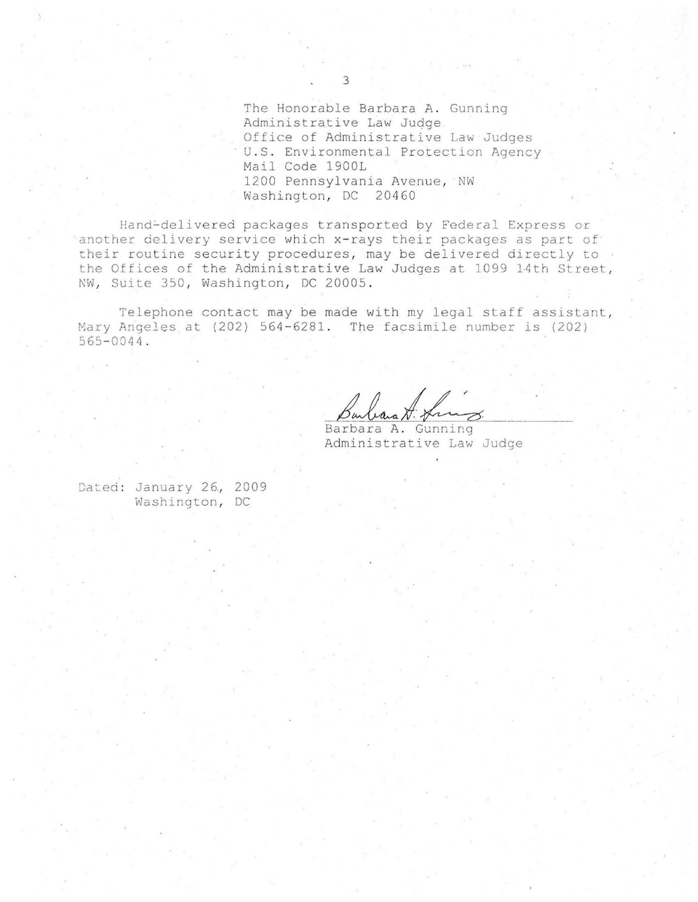The Honorable Barbara A. Gunning Administrative Law Judge Office of Administrative Law Judges U.S. Environmental Protection Agency Mail Code 1 900L 1200 Pennsylvania Avenue, NW Washington, DC 20460

Hand-delivered packages transported by Federal Express or another delivery service which x-rays their packages as part of their routine security procedures, may be delivered directly to the Offices of the Administrative Law Judges at 1099 14th Street, NW, Suite 350, Washington, DC 20005.

Telephone contact may be made with my legal staff assistant, Mary Angeles at (202) 564-6281. The facsimile number is (202) 565- 0044 .

Barbara A. friez.

Administrative Law Judge

Dated: January 26, 2009 Washington, DC